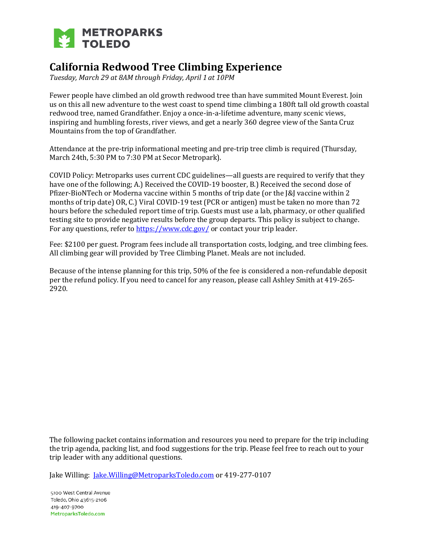

# **California Redwood Tree Climbing Experience**

*Tuesday, March 29 at 8AM through Friday, April 1 at 10PM*

Fewer people have climbed an old growth redwood tree than have summited Mount Everest. Join us on this all new adventure to the west coast to spend time climbing a 180ft tall old growth coastal redwood tree, named Grandfather. Enjoy a once-in-a-lifetime adventure, many scenic views, inspiring and humbling forests, river views, and get a nearly 360 degree view of the Santa Cruz Mountains from the top of Grandfather.

Attendance at the pre-trip informational meeting and pre-trip tree climb is required (Thursday, March 24th, 5:30 PM to 7:30 PM at Secor Metropark).

COVID Policy: Metroparks uses current CDC guidelines—all guests are required to verify that they have one of the following; A.) Received the COVID-19 booster, B.) Received the second dose of Pfizer-BioNTech or Moderna vaccine within 5 months of trip date (or the J&J vaccine within 2 months of trip date) OR, C.) Viral COVID-19 test (PCR or antigen) must be taken no more than 72 hours before the scheduled report time of trip. Guests must use a lab, pharmacy, or other qualified testing site to provide negative results before the group departs. This policy is subject to change. For any questions, refer to<https://www.cdc.gov/> or contact your trip leader.

Fee: \$2100 per guest. Program fees include all transportation costs, lodging, and tree climbing fees. All climbing gear will provided by Tree Climbing Planet. Meals are not included.

Because of the intense planning for this trip, 50% of the fee is considered a non-refundable deposit per the refund policy. If you need to cancel for any reason, please call Ashley Smith at 419-265- 2920.

The following packet contains information and resources you need to prepare for the trip including the trip agenda, packing list, and food suggestions for the trip. Please feel free to reach out to your trip leader with any additional questions.

Jake Willing: *[Jake.Willing@MetroparksToledo.com](mailto:Jake.Willing@MetroparksToledo.com)* or 419-277-0107

5100 West Central Avenue Toledo, Ohio 43615-2106 419-407-9700 MetroparksToledo.com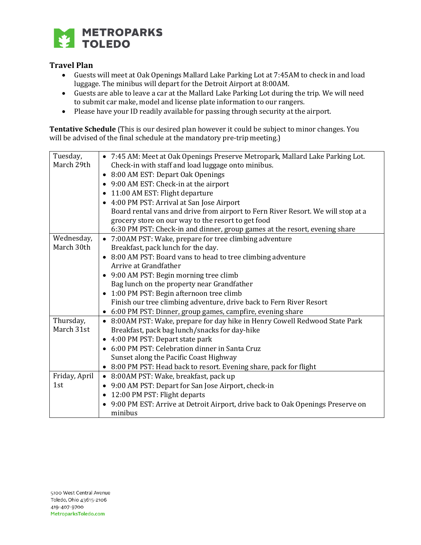

# **Travel Plan**

- Guests will meet at Oak Openings Mallard Lake Parking Lot at 7:45AM to check in and load luggage. The minibus will depart for the Detroit Airport at 8:00AM.
- Guests are able to leave a car at the Mallard Lake Parking Lot during the trip. We will need to submit car make, model and license plate information to our rangers.
- Please have your ID readily available for passing through security at the airport.

**Tentative Schedule** (This is our desired plan however it could be subject to minor changes. You will be advised of the final schedule at the mandatory pre-trip meeting.)

| Tuesday,      | • 7:45 AM: Meet at Oak Openings Preserve Metropark, Mallard Lake Parking Lot.    |
|---------------|----------------------------------------------------------------------------------|
| March 29th    | Check-in with staff and load luggage onto minibus.                               |
|               | • 8:00 AM EST: Depart Oak Openings                                               |
|               | • 9:00 AM EST: Check-in at the airport                                           |
|               | • 11:00 AM EST: Flight departure                                                 |
|               | • 4:00 PM PST: Arrival at San Jose Airport                                       |
|               | Board rental vans and drive from airport to Fern River Resort. We will stop at a |
|               | grocery store on our way to the resort to get food                               |
|               | 6:30 PM PST: Check-in and dinner, group games at the resort, evening share       |
| Wednesday,    | • 7:00AM PST: Wake, prepare for tree climbing adventure                          |
| March 30th    | Breakfast, pack lunch for the day.                                               |
|               | • 8:00 AM PST: Board vans to head to tree climbing adventure                     |
|               | Arrive at Grandfather                                                            |
|               | • 9:00 AM PST: Begin morning tree climb                                          |
|               | Bag lunch on the property near Grandfather                                       |
|               | • 1:00 PM PST: Begin afternoon tree climb                                        |
|               | Finish our tree climbing adventure, drive back to Fern River Resort              |
|               | • 6:00 PM PST: Dinner, group games, campfire, evening share                      |
| Thursday,     | • 8:00AM PST: Wake, prepare for day hike in Henry Cowell Redwood State Park      |
| March 31st    | Breakfast, pack bag lunch/snacks for day-hike                                    |
|               | • 4:00 PM PST: Depart state park                                                 |
|               | • 6:00 PM PST: Celebration dinner in Santa Cruz                                  |
|               | Sunset along the Pacific Coast Highway                                           |
|               | • 8:00 PM PST: Head back to resort. Evening share, pack for flight               |
| Friday, April | • 8:00AM PST: Wake, breakfast, pack up                                           |
| 1st           | • 9:00 AM PST: Depart for San Jose Airport, check-in                             |
|               | • 12:00 PM PST: Flight departs                                                   |
|               | • 9:00 PM EST: Arrive at Detroit Airport, drive back to Oak Openings Preserve on |
|               | minibus                                                                          |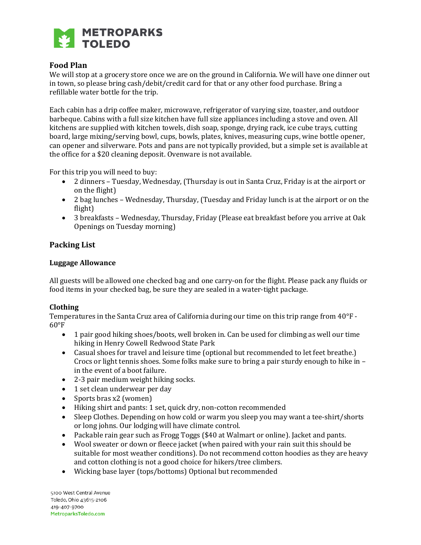

# **Food Plan**

We will stop at a grocery store once we are on the ground in California. We will have one dinner out in town, so please bring cash/debit/credit card for that or any other food purchase. Bring a refillable water bottle for the trip.

Each cabin has a drip coffee maker, microwave, refrigerator of varying size, toaster, and outdoor barbeque. Cabins with a full size kitchen have full size appliances including a stove and oven. All kitchens are supplied with kitchen towels, dish soap, sponge, drying rack, ice cube trays, cutting board, large mixing/serving bowl, cups, bowls, plates, knives, measuring cups, wine bottle opener, can opener and silverware. Pots and pans are not typically provided, but a simple set is available at the office for a \$20 cleaning deposit. Ovenware is not available.

For this trip you will need to buy:

- 2 dinners Tuesday, Wednesday, (Thursday is out in Santa Cruz, Friday is at the airport or on the flight)
- 2 bag lunches Wednesday, Thursday, (Tuesday and Friday lunch is at the airport or on the flight)
- 3 breakfasts Wednesday, Thursday, Friday (Please eat breakfast before you arrive at Oak Openings on Tuesday morning)

## **Packing List**

#### **Luggage Allowance**

All guests will be allowed one checked bag and one carry-on for the flight. Please pack any fluids or food items in your checked bag, be sure they are sealed in a water-tight package.

## **Clothing**

Temperatures in the Santa Cruz area of California during our time on this trip range from 40°F -  $60^{\circ}$ F

- 1 pair good hiking shoes/boots, well broken in. Can be used for climbing as well our time hiking in Henry Cowell Redwood State Park
- Casual shoes for travel and leisure time (optional but recommended to let feet breathe.) Crocs or light tennis shoes. Some folks make sure to bring a pair sturdy enough to hike in – in the event of a boot failure.
- 2-3 pair medium weight hiking socks.
- 1 set clean underwear per day
- Sports bras x2 (women)
- Hiking shirt and pants: 1 set, quick dry, non-cotton recommended
- Sleep Clothes. Depending on how cold or warm you sleep you may want a tee-shirt/shorts or long johns. Our lodging will have climate control.
- Packable rain gear such as Frogg Toggs (\$40 at Walmart or online). Jacket and pants.
- Wool sweater or down or fleece jacket (when paired with your rain suit this should be suitable for most weather conditions). Do not recommend cotton hoodies as they are heavy and cotton clothing is not a good choice for hikers/tree climbers.
- Wicking base layer (tops/bottoms) Optional but recommended

5100 West Central Avenue Toledo, Ohio 43615-2106 419-407-9700 MetroparksToledo.com